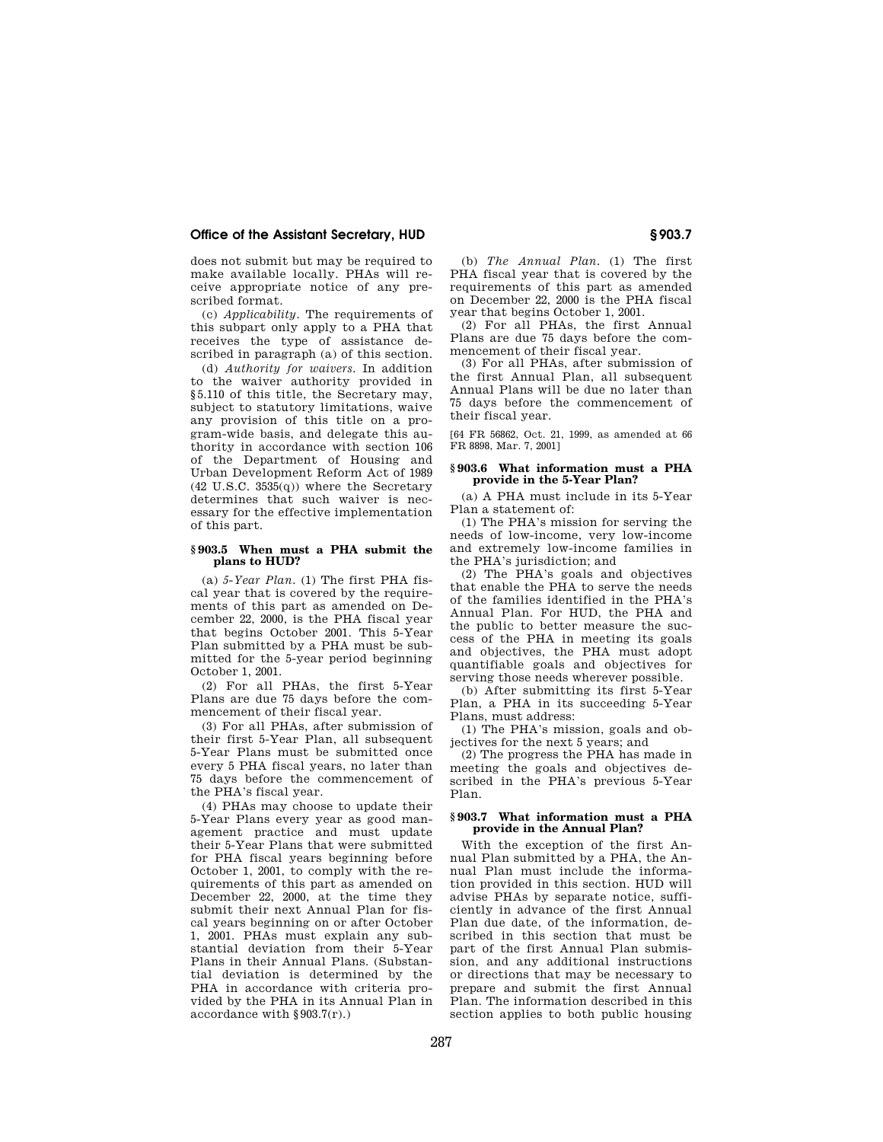# **Office of the Assistant Secretary, HUD § 903.7**

does not submit but may be required to make available locally. PHAs will receive appropriate notice of any prescribed format.

(c) *Applicability.* The requirements of this subpart only apply to a PHA that receives the type of assistance described in paragraph (a) of this section.

(d) *Authority for waivers.* In addition to the waiver authority provided in §5.110 of this title, the Secretary may, subject to statutory limitations, waive any provision of this title on a program-wide basis, and delegate this authority in accordance with section 106 of the Department of Housing and Urban Development Reform Act of 1989  $(42 \text{ U.S.C. } 3535(q))$  where the Secretary determines that such waiver is necessary for the effective implementation of this part.

## **§ 903.5 When must a PHA submit the plans to HUD?**

(a) *5-Year Plan.* (1) The first PHA fiscal year that is covered by the requirements of this part as amended on December 22, 2000, is the PHA fiscal year that begins October 2001. This 5-Year Plan submitted by a PHA must be submitted for the 5-year period beginning October 1, 2001.

(2) For all PHAs, the first 5-Year Plans are due 75 days before the commencement of their fiscal year.

(3) For all PHAs, after submission of their first 5-Year Plan, all subsequent 5-Year Plans must be submitted once every 5 PHA fiscal years, no later than 75 days before the commencement of the PHA's fiscal year.

(4) PHAs may choose to update their 5-Year Plans every year as good management practice and must update their 5-Year Plans that were submitted for PHA fiscal years beginning before October 1, 2001, to comply with the requirements of this part as amended on December 22, 2000, at the time they submit their next Annual Plan for fiscal years beginning on or after October 1, 2001. PHAs must explain any substantial deviation from their 5-Year Plans in their Annual Plans. (Substantial deviation is determined by the PHA in accordance with criteria provided by the PHA in its Annual Plan in accordance with §903.7(r).)

(b) *The Annual Plan.* (1) The first PHA fiscal year that is covered by the requirements of this part as amended on December 22, 2000 is the PHA fiscal year that begins October 1, 2001.

(2) For all PHAs, the first Annual Plans are due 75 days before the commencement of their fiscal year.

(3) For all PHAs, after submission of the first Annual Plan, all subsequent Annual Plans will be due no later than 75 days before the commencement of their fiscal year.

[64 FR 56862, Oct. 21, 1999, as amended at 66 FR 8898, Mar. 7, 2001]

### **§ 903.6 What information must a PHA provide in the 5-Year Plan?**

(a) A PHA must include in its 5-Year Plan a statement of:

(1) The PHA's mission for serving the needs of low-income, very low-income and extremely low-income families in the PHA's jurisdiction; and

(2) The PHA's goals and objectives that enable the PHA to serve the needs of the families identified in the PHA's Annual Plan. For HUD, the PHA and the public to better measure the success of the PHA in meeting its goals and objectives, the PHA must adopt quantifiable goals and objectives for serving those needs wherever possible.

(b) After submitting its first 5-Year Plan, a PHA in its succeeding 5-Year Plans, must address:

(1) The PHA's mission, goals and objectives for the next 5 years; and

(2) The progress the PHA has made in meeting the goals and objectives described in the PHA's previous 5-Year Plan.

### **§ 903.7 What information must a PHA provide in the Annual Plan?**

With the exception of the first Annual Plan submitted by a PHA, the Annual Plan must include the information provided in this section. HUD will advise PHAs by separate notice, sufficiently in advance of the first Annual Plan due date, of the information, described in this section that must be part of the first Annual Plan submission, and any additional instructions or directions that may be necessary to prepare and submit the first Annual Plan. The information described in this section applies to both public housing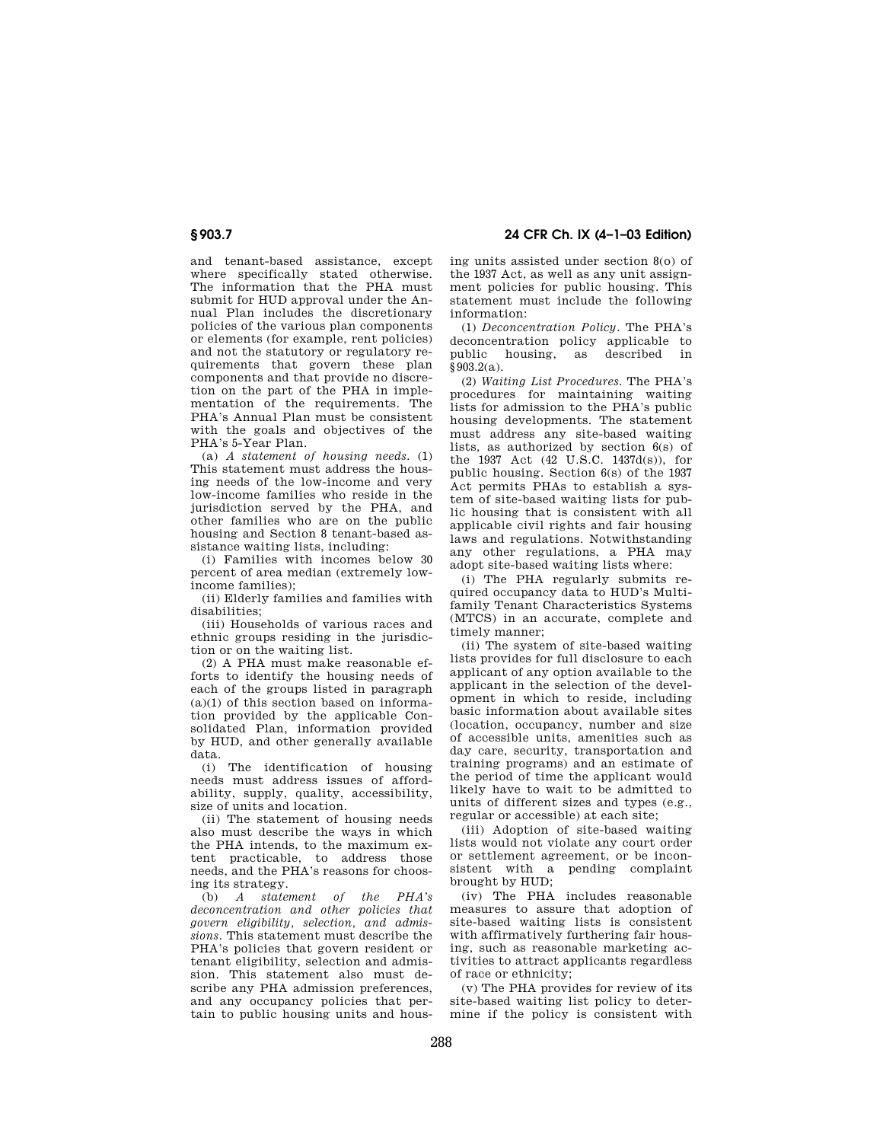# **§ 903.7 24 CFR Ch. IX (4–1–03 Edition)**

and tenant-based assistance, except where specifically stated otherwise. The information that the PHA must submit for HUD approval under the Annual Plan includes the discretionary policies of the various plan components or elements (for example, rent policies) and not the statutory or regulatory requirements that govern these plan components and that provide no discretion on the part of the PHA in implementation of the requirements. The PHA's Annual Plan must be consistent with the goals and objectives of the PHA's 5-Year Plan.

(a) *A statement of housing needs.* (1) This statement must address the housing needs of the low-income and very low-income families who reside in the jurisdiction served by the PHA, and other families who are on the public housing and Section 8 tenant-based assistance waiting lists, including:

(i) Families with incomes below 30 percent of area median (extremely lowincome families);

(ii) Elderly families and families with disabilities;

(iii) Households of various races and ethnic groups residing in the jurisdiction or on the waiting list.

(2) A PHA must make reasonable efforts to identify the housing needs of each of the groups listed in paragraph  $(a)(1)$  of this section based on information provided by the applicable Consolidated Plan, information provided by HUD, and other generally available data.

(i) The identification of housing needs must address issues of affordability, supply, quality, accessibility, size of units and location.

(ii) The statement of housing needs also must describe the ways in which the PHA intends, to the maximum extent practicable, to address those needs, and the PHA's reasons for choosing its strategy.

(b) *A statement of the PHA's deconcentration and other policies that govern eligibility, selection, and admissions.* This statement must describe the PHA's policies that govern resident or tenant eligibility, selection and admission. This statement also must describe any PHA admission preferences, and any occupancy policies that pertain to public housing units and housing units assisted under section 8(o) of the 1937 Act, as well as any unit assignment policies for public housing. This statement must include the following information:

(1) *Deconcentration Policy.* The PHA's deconcentration policy applicable to public housing, as described in §903.2(a).

(2) *Waiting List Procedures.* The PHA's procedures for maintaining waiting lists for admission to the PHA's public housing developments. The statement must address any site-based waiting lists, as authorized by section 6(s) of the 1937 Act (42 U.S.C. 1437d(s)), for public housing. Section 6(s) of the 1937 Act permits PHAs to establish a system of site-based waiting lists for public housing that is consistent with all applicable civil rights and fair housing laws and regulations. Notwithstanding any other regulations, a PHA may adopt site-based waiting lists where:

(i) The PHA regularly submits required occupancy data to HUD's Multifamily Tenant Characteristics Systems (MTCS) in an accurate, complete and timely manner;

(ii) The system of site-based waiting lists provides for full disclosure to each applicant of any option available to the applicant in the selection of the development in which to reside, including basic information about available sites (location, occupancy, number and size of accessible units, amenities such as day care, security, transportation and training programs) and an estimate of the period of time the applicant would likely have to wait to be admitted to units of different sizes and types (e.g., regular or accessible) at each site;

(iii) Adoption of site-based waiting lists would not violate any court order or settlement agreement, or be inconsistent with a pending complaint brought by HUD;

(iv) The PHA includes reasonable measures to assure that adoption of site-based waiting lists is consistent with affirmatively furthering fair housing, such as reasonable marketing activities to attract applicants regardless of race or ethnicity;

(v) The PHA provides for review of its site-based waiting list policy to determine if the policy is consistent with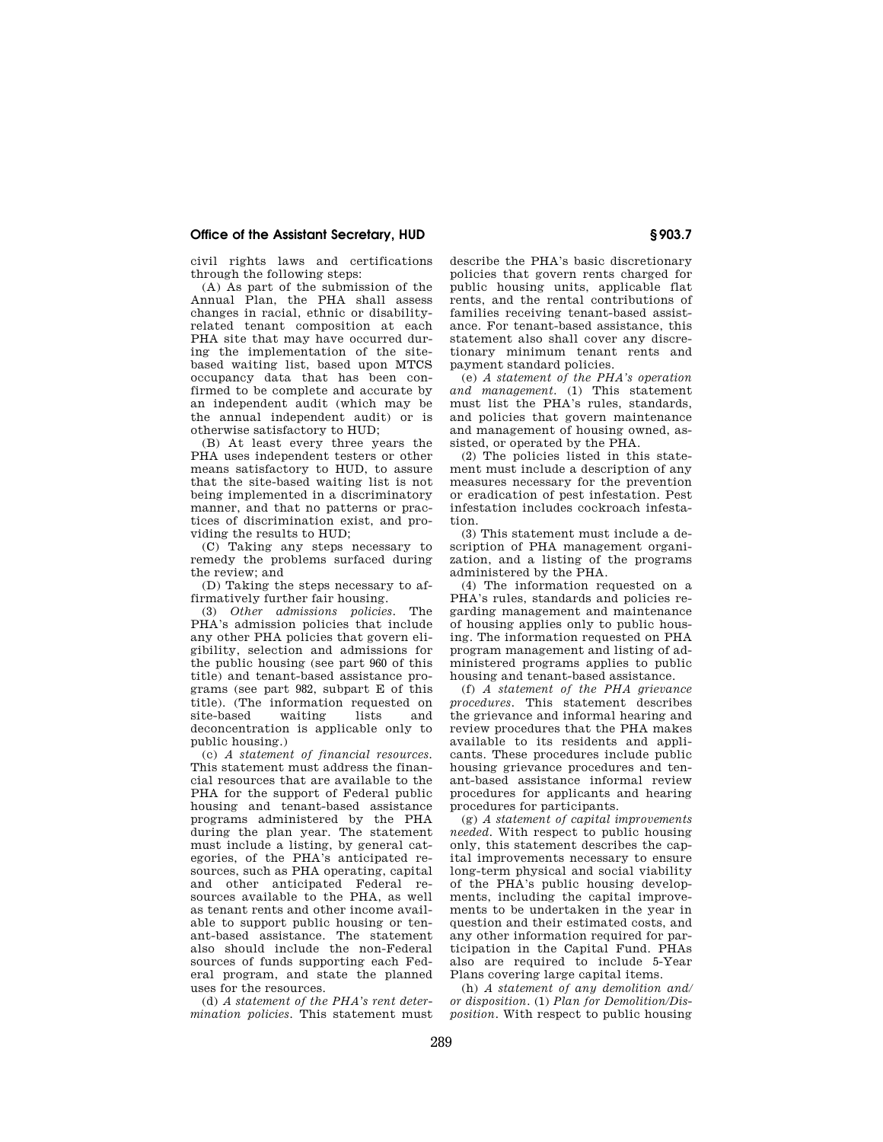### **Office of the Assistant Secretary, HUD § 903.7**

civil rights laws and certifications through the following steps:

(A) As part of the submission of the Annual Plan, the PHA shall assess changes in racial, ethnic or disabilityrelated tenant composition at each PHA site that may have occurred during the implementation of the sitebased waiting list, based upon MTCS occupancy data that has been confirmed to be complete and accurate by an independent audit (which may be the annual independent audit) or is otherwise satisfactory to HUD;

(B) At least every three years the PHA uses independent testers or other means satisfactory to HUD, to assure that the site-based waiting list is not being implemented in a discriminatory manner, and that no patterns or practices of discrimination exist, and providing the results to HUD;

(C) Taking any steps necessary to remedy the problems surfaced during the review; and

(D) Taking the steps necessary to affirmatively further fair housing.

(3) *Other admissions policies.* The PHA's admission policies that include any other PHA policies that govern eligibility, selection and admissions for the public housing (see part 960 of this title) and tenant-based assistance programs (see part 982, subpart E of this title). (The information requested on<br>site-based waiting lists and site-based waiting lists and deconcentration is applicable only to public housing.)

(c) *A statement of financial resources.* This statement must address the financial resources that are available to the PHA for the support of Federal public housing and tenant-based assistance programs administered by the PHA during the plan year. The statement must include a listing, by general categories, of the PHA's anticipated resources, such as PHA operating, capital and other anticipated Federal resources available to the PHA, as well as tenant rents and other income available to support public housing or tenant-based assistance. The statement also should include the non-Federal sources of funds supporting each Federal program, and state the planned uses for the resources.

(d) *A statement of the PHA's rent determination policies.* This statement must describe the PHA's basic discretionary policies that govern rents charged for public housing units, applicable flat rents, and the rental contributions of families receiving tenant-based assistance. For tenant-based assistance, this statement also shall cover any discretionary minimum tenant rents and payment standard policies.

(e) *A statement of the PHA's operation and management.* (1) This statement must list the PHA's rules, standards, and policies that govern maintenance and management of housing owned, assisted, or operated by the PHA.

(2) The policies listed in this statement must include a description of any measures necessary for the prevention or eradication of pest infestation. Pest infestation includes cockroach infestation.

(3) This statement must include a description of PHA management organization, and a listing of the programs administered by the PHA.

(4) The information requested on a PHA's rules, standards and policies regarding management and maintenance of housing applies only to public housing. The information requested on PHA program management and listing of administered programs applies to public housing and tenant-based assistance.

(f) *A statement of the PHA grievance procedures.* This statement describes the grievance and informal hearing and review procedures that the PHA makes available to its residents and applicants. These procedures include public housing grievance procedures and tenant-based assistance informal review procedures for applicants and hearing procedures for participants.

(g) *A statement of capital improvements needed.* With respect to public housing only, this statement describes the capital improvements necessary to ensure long-term physical and social viability of the PHA's public housing developments, including the capital improvements to be undertaken in the year in question and their estimated costs, and any other information required for participation in the Capital Fund. PHAs also are required to include 5-Year Plans covering large capital items.

(h) *A statement of any demolition and/ or disposition.* (1) *Plan for Demolition/Disposition.* With respect to public housing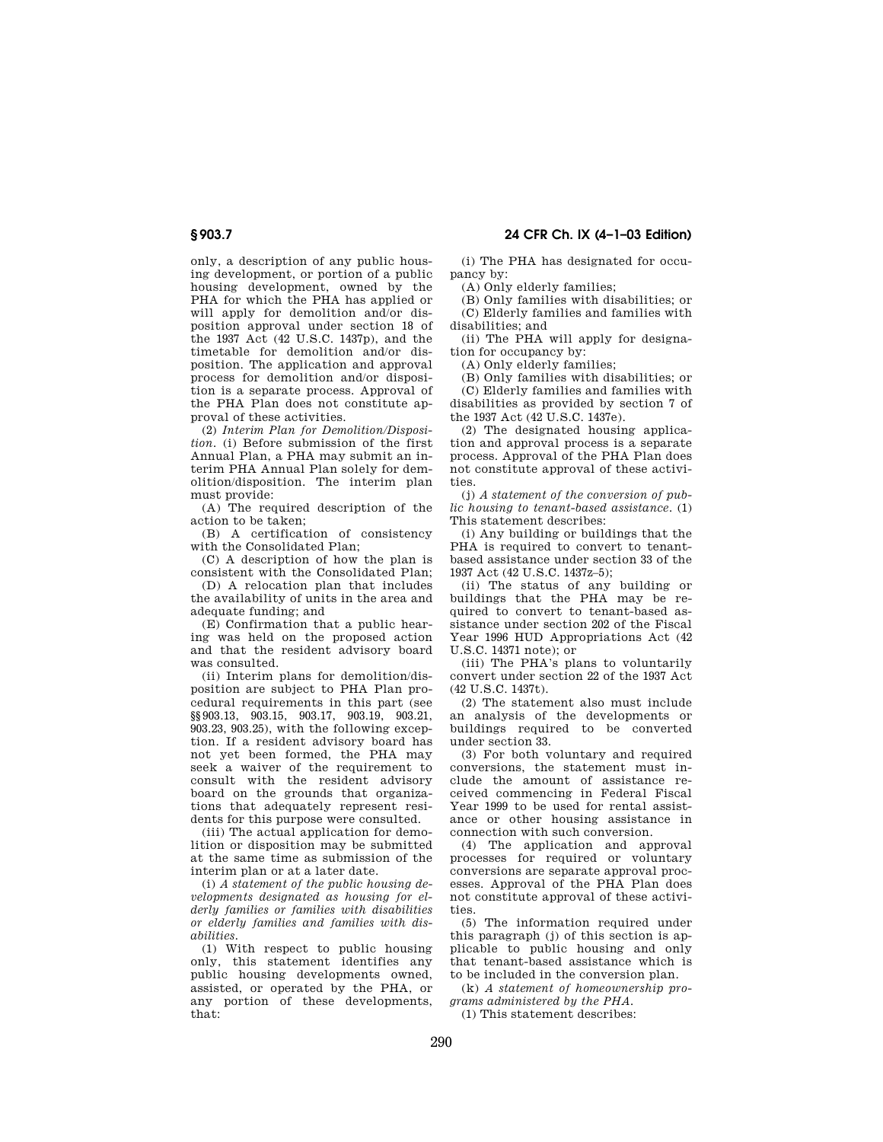only, a description of any public hous-

ing development, or portion of a public housing development, owned by the PHA for which the PHA has applied or will apply for demolition and/or disposition approval under section 18 of the 1937 Act (42 U.S.C. 1437p), and the timetable for demolition and/or disposition. The application and approval process for demolition and/or disposition is a separate process. Approval of the PHA Plan does not constitute approval of these activities.

(2) *Interim Plan for Demolition/Disposition.* (i) Before submission of the first Annual Plan, a PHA may submit an interim PHA Annual Plan solely for demolition/disposition. The interim plan must provide:

(A) The required description of the action to be taken;

(B) A certification of consistency with the Consolidated Plan;

(C) A description of how the plan is consistent with the Consolidated Plan;

(D) A relocation plan that includes the availability of units in the area and adequate funding; and

(E) Confirmation that a public hearing was held on the proposed action and that the resident advisory board was consulted.

(ii) Interim plans for demolition/disposition are subject to PHA Plan procedural requirements in this part (see §§903.13, 903.15, 903.17, 903.19, 903.21, 903.23, 903.25), with the following exception. If a resident advisory board has not yet been formed, the PHA may seek a waiver of the requirement to consult with the resident advisory board on the grounds that organizations that adequately represent residents for this purpose were consulted.

(iii) The actual application for demolition or disposition may be submitted at the same time as submission of the interim plan or at a later date.

(i) *A statement of the public housing developments designated as housing for elderly families or families with disabilities or elderly families and families with disabilities.*

(1) With respect to public housing only, this statement identifies any public housing developments owned, assisted, or operated by the PHA, or any portion of these developments, that:

(i) The PHA has designated for occupancy by:

(A) Only elderly families;

(B) Only families with disabilities; or (C) Elderly families and families with disabilities; and

(ii) The PHA will apply for designation for occupancy by:

(A) Only elderly families;

(B) Only families with disabilities; or

(C) Elderly families and families with disabilities as provided by section 7 of the 1937 Act  $(42 \text{ II S C} 1437e)$ .

(2) The designated housing application and approval process is a separate process. Approval of the PHA Plan does not constitute approval of these activities.

(j) *A statement of the conversion of public housing to tenant-based assistance.* (1) This statement describes:

(i) Any building or buildings that the PHA is required to convert to tenantbased assistance under section 33 of the 1937 Act (42 U.S.C. 1437z–5);

(ii) The status of any building or buildings that the PHA may be required to convert to tenant-based assistance under section 202 of the Fiscal Year 1996 HUD Appropriations Act (42 U.S.C. 14371 note); or

(iii) The PHA's plans to voluntarily convert under section 22 of the 1937 Act (42 U.S.C. 1437t).

(2) The statement also must include an analysis of the developments or buildings required to be converted under section 33.

(3) For both voluntary and required conversions, the statement must include the amount of assistance received commencing in Federal Fiscal Year 1999 to be used for rental assistance or other housing assistance in connection with such conversion.

(4) The application and approval processes for required or voluntary conversions are separate approval processes. Approval of the PHA Plan does not constitute approval of these activities.

(5) The information required under this paragraph (j) of this section is applicable to public housing and only that tenant-based assistance which is to be included in the conversion plan.

(k) *A statement of homeownership programs administered by the PHA.*

(1) This statement describes: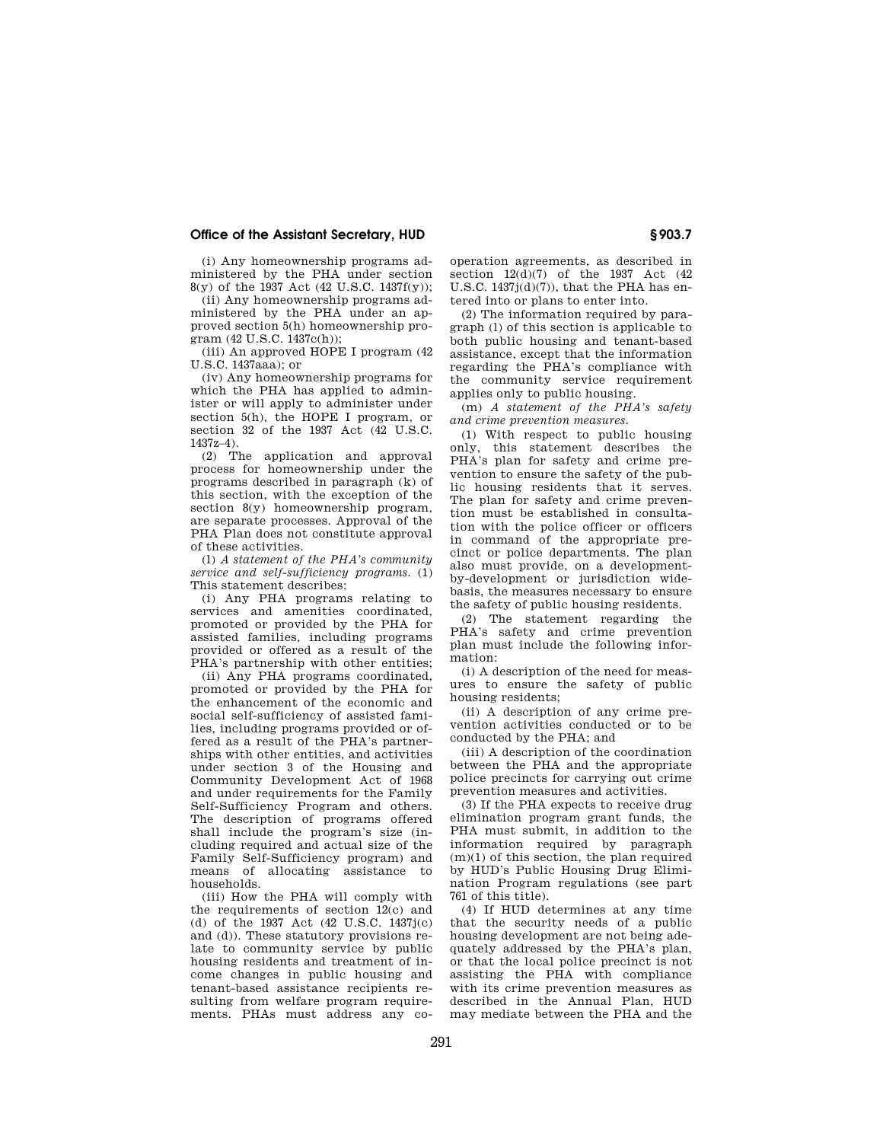# **Office of the Assistant Secretary, HUD § 903.7**

(i) Any homeownership programs administered by the PHA under section 8(y) of the 1937 Act (42 U.S.C. 1437f(y));

(ii) Any homeownership programs administered by the PHA under an approved section 5(h) homeownership program (42 U.S.C. 1437c(h));

(iii) An approved HOPE I program (42 U.S.C. 1437aaa); or

(iv) Any homeownership programs for which the PHA has applied to administer or will apply to administer under section 5(h), the HOPE I program, or section 32 of the 1937 Act (42 U.S.C. 1437z–4).

(2) The application and approval process for homeownership under the programs described in paragraph (k) of this section, with the exception of the section  $8(y)$  homeownership program, are separate processes. Approval of the PHA Plan does not constitute approval of these activities.

(l) *A statement of the PHA's community service and self-sufficiency programs.* (1) This statement describes:

(i) Any PHA programs relating to services and amenities coordinated, promoted or provided by the PHA for assisted families, including programs provided or offered as a result of the PHA's partnership with other entities;

(ii) Any PHA programs coordinated, promoted or provided by the PHA for the enhancement of the economic and social self-sufficiency of assisted families, including programs provided or offered as a result of the PHA's partnerships with other entities, and activities under section 3 of the Housing and Community Development Act of 1968 and under requirements for the Family Self-Sufficiency Program and others. The description of programs offered shall include the program's size (including required and actual size of the Family Self-Sufficiency program) and means of allocating assistance to households.

(iii) How the PHA will comply with the requirements of section 12(c) and (d) of the 1937 Act (42 U.S.C. 1437j(c) and (d)). These statutory provisions relate to community service by public housing residents and treatment of income changes in public housing and tenant-based assistance recipients resulting from welfare program requirements. PHAs must address any cooperation agreements, as described in section 12(d)(7) of the 1937 Act (42 U.S.C.  $1437j(d)(7)$ , that the PHA has entered into or plans to enter into.

(2) The information required by paragraph (l) of this section is applicable to both public housing and tenant-based assistance, except that the information regarding the PHA's compliance with the community service requirement applies only to public housing.

(m) *A statement of the PHA's safety and crime prevention measures.*

(1) With respect to public housing only, this statement describes the PHA's plan for safety and crime prevention to ensure the safety of the public housing residents that it serves. The plan for safety and crime prevention must be established in consultation with the police officer or officers in command of the appropriate precinct or police departments. The plan also must provide, on a developmentby-development or jurisdiction widebasis, the measures necessary to ensure the safety of public housing residents.

(2) The statement regarding the PHA's safety and crime prevention plan must include the following information:

(i) A description of the need for measures to ensure the safety of public housing residents;

(ii) A description of any crime prevention activities conducted or to be conducted by the PHA; and

(iii) A description of the coordination between the PHA and the appropriate police precincts for carrying out crime prevention measures and activities.

(3) If the PHA expects to receive drug elimination program grant funds, the PHA must submit, in addition to the information required by paragraph  $(m)(1)$  of this section, the plan required by HUD's Public Housing Drug Elimination Program regulations (see part 761 of this title).

(4) If HUD determines at any time that the security needs of a public housing development are not being adequately addressed by the PHA's plan, or that the local police precinct is not assisting the PHA with compliance with its crime prevention measures as described in the Annual Plan, HUD may mediate between the PHA and the